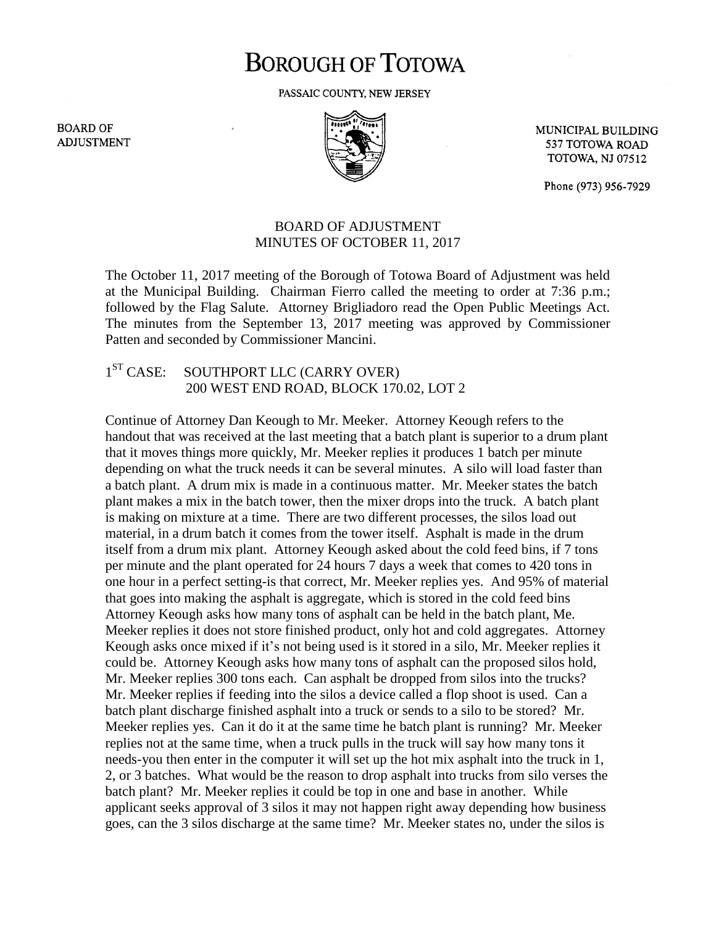## **BOROUGH OF TOTOWA**

PASSAIC COUNTY, NEW JERSEY

**BOARD OF ADJUSTMENT** 



MUNICIPAL BUILDING 537 TOTOWA ROAD **TOTOWA, NJ 07512** 

Phone (973) 956-7929

## BOARD OF ADJUSTMENT MINUTES OF OCTOBER 11, 2017

The October 11, 2017 meeting of the Borough of Totowa Board of Adjustment was held at the Municipal Building. Chairman Fierro called the meeting to order at 7:36 p.m.; followed by the Flag Salute. Attorney Brigliadoro read the Open Public Meetings Act. The minutes from the September 13, 2017 meeting was approved by Commissioner Patten and seconded by Commissioner Mancini.

## $1<sup>ST</sup> CASE:$ SOUTHPORT LLC (CARRY OVER) 200 WEST END ROAD, BLOCK 170.02, LOT 2

Continue of Attorney Dan Keough to Mr. Meeker. Attorney Keough refers to the handout that was received at the last meeting that a batch plant is superior to a drum plant that it moves things more quickly, Mr. Meeker replies it produces 1 batch per minute depending on what the truck needs it can be several minutes. A silo will load faster than a batch plant. A drum mix is made in a continuous matter. Mr. Meeker states the batch plant makes a mix in the batch tower, then the mixer drops into the truck. A batch plant is making on mixture at a time. There are two different processes, the silos load out material, in a drum batch it comes from the tower itself. Asphalt is made in the drum itself from a drum mix plant. Attorney Keough asked about the cold feed bins, if 7 tons per minute and the plant operated for 24 hours 7 days a week that comes to 420 tons in one hour in a perfect setting-is that correct, Mr. Meeker replies yes. And 95% of material that goes into making the asphalt is aggregate, which is stored in the cold feed bins Attorney Keough asks how many tons of asphalt can be held in the batch plant, Me. Meeker replies it does not store finished product, only hot and cold aggregates. Attorney Keough asks once mixed if it's not being used is it stored in a silo, Mr. Meeker replies it could be. Attorney Keough asks how many tons of asphalt can the proposed silos hold, Mr. Meeker replies 300 tons each. Can asphalt be dropped from silos into the trucks? Mr. Meeker replies if feeding into the silos a device called a flop shoot is used. Can a batch plant discharge finished asphalt into a truck or sends to a silo to be stored? Mr. Meeker replies yes. Can it do it at the same time he batch plant is running? Mr. Meeker replies not at the same time, when a truck pulls in the truck will say how many tons it needs-you then enter in the computer it will set up the hot mix asphalt into the truck in 1, 2, or 3 batches. What would be the reason to drop asphalt into trucks from silo verses the batch plant? Mr. Meeker replies it could be top in one and base in another. While applicant seeks approval of 3 silos it may not happen right away depending how business goes, can the 3 silos discharge at the same time? Mr. Meeker states no, under the silos is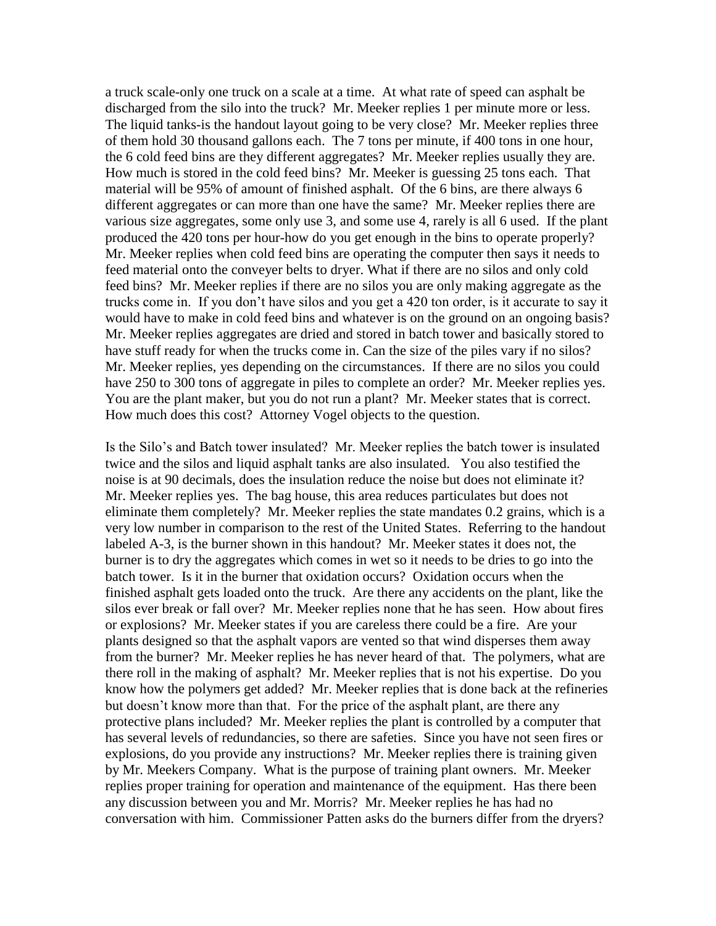a truck scale-only one truck on a scale at a time. At what rate of speed can asphalt be discharged from the silo into the truck? Mr. Meeker replies 1 per minute more or less. The liquid tanks-is the handout layout going to be very close? Mr. Meeker replies three of them hold 30 thousand gallons each. The 7 tons per minute, if 400 tons in one hour, the 6 cold feed bins are they different aggregates? Mr. Meeker replies usually they are. How much is stored in the cold feed bins? Mr. Meeker is guessing 25 tons each. That material will be 95% of amount of finished asphalt. Of the 6 bins, are there always 6 different aggregates or can more than one have the same? Mr. Meeker replies there are various size aggregates, some only use 3, and some use 4, rarely is all 6 used. If the plant produced the 420 tons per hour-how do you get enough in the bins to operate properly? Mr. Meeker replies when cold feed bins are operating the computer then says it needs to feed material onto the conveyer belts to dryer. What if there are no silos and only cold feed bins? Mr. Meeker replies if there are no silos you are only making aggregate as the trucks come in. If you don't have silos and you get a 420 ton order, is it accurate to say it would have to make in cold feed bins and whatever is on the ground on an ongoing basis? Mr. Meeker replies aggregates are dried and stored in batch tower and basically stored to have stuff ready for when the trucks come in. Can the size of the piles vary if no silos? Mr. Meeker replies, yes depending on the circumstances. If there are no silos you could have 250 to 300 tons of aggregate in piles to complete an order? Mr. Meeker replies yes. You are the plant maker, but you do not run a plant? Mr. Meeker states that is correct. How much does this cost? Attorney Vogel objects to the question.

Is the Silo's and Batch tower insulated? Mr. Meeker replies the batch tower is insulated twice and the silos and liquid asphalt tanks are also insulated. You also testified the noise is at 90 decimals, does the insulation reduce the noise but does not eliminate it? Mr. Meeker replies yes. The bag house, this area reduces particulates but does not eliminate them completely? Mr. Meeker replies the state mandates 0.2 grains, which is a very low number in comparison to the rest of the United States. Referring to the handout labeled A-3, is the burner shown in this handout? Mr. Meeker states it does not, the burner is to dry the aggregates which comes in wet so it needs to be dries to go into the batch tower. Is it in the burner that oxidation occurs? Oxidation occurs when the finished asphalt gets loaded onto the truck. Are there any accidents on the plant, like the silos ever break or fall over? Mr. Meeker replies none that he has seen. How about fires or explosions? Mr. Meeker states if you are careless there could be a fire. Are your plants designed so that the asphalt vapors are vented so that wind disperses them away from the burner? Mr. Meeker replies he has never heard of that. The polymers, what are there roll in the making of asphalt? Mr. Meeker replies that is not his expertise. Do you know how the polymers get added? Mr. Meeker replies that is done back at the refineries but doesn't know more than that. For the price of the asphalt plant, are there any protective plans included? Mr. Meeker replies the plant is controlled by a computer that has several levels of redundancies, so there are safeties. Since you have not seen fires or explosions, do you provide any instructions? Mr. Meeker replies there is training given by Mr. Meekers Company. What is the purpose of training plant owners. Mr. Meeker replies proper training for operation and maintenance of the equipment. Has there been any discussion between you and Mr. Morris? Mr. Meeker replies he has had no conversation with him. Commissioner Patten asks do the burners differ from the dryers?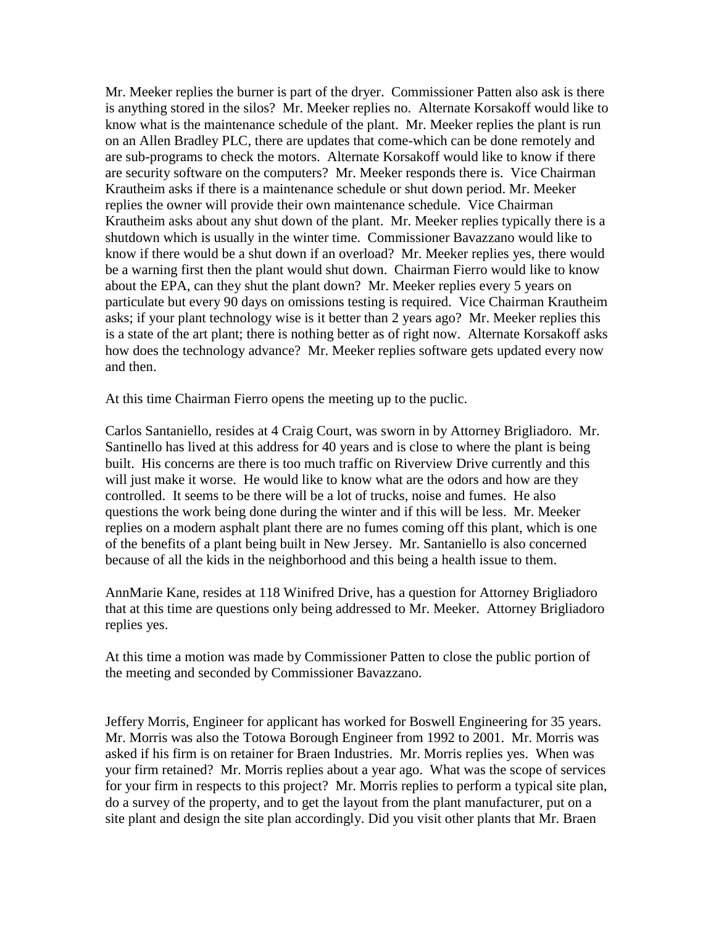Mr. Meeker replies the burner is part of the dryer. Commissioner Patten also ask is there is anything stored in the silos? Mr. Meeker replies no. Alternate Korsakoff would like to know what is the maintenance schedule of the plant. Mr. Meeker replies the plant is run on an Allen Bradley PLC, there are updates that come-which can be done remotely and are sub-programs to check the motors. Alternate Korsakoff would like to know if there are security software on the computers? Mr. Meeker responds there is. Vice Chairman Krautheim asks if there is a maintenance schedule or shut down period. Mr. Meeker replies the owner will provide their own maintenance schedule. Vice Chairman Krautheim asks about any shut down of the plant. Mr. Meeker replies typically there is a shutdown which is usually in the winter time. Commissioner Bavazzano would like to know if there would be a shut down if an overload? Mr. Meeker replies yes, there would be a warning first then the plant would shut down. Chairman Fierro would like to know about the EPA, can they shut the plant down? Mr. Meeker replies every 5 years on particulate but every 90 days on omissions testing is required. Vice Chairman Krautheim asks; if your plant technology wise is it better than 2 years ago? Mr. Meeker replies this is a state of the art plant; there is nothing better as of right now. Alternate Korsakoff asks how does the technology advance? Mr. Meeker replies software gets updated every now and then.

At this time Chairman Fierro opens the meeting up to the puclic.

Carlos Santaniello, resides at 4 Craig Court, was sworn in by Attorney Brigliadoro. Mr. Santinello has lived at this address for 40 years and is close to where the plant is being built. His concerns are there is too much traffic on Riverview Drive currently and this will just make it worse. He would like to know what are the odors and how are they controlled. It seems to be there will be a lot of trucks, noise and fumes. He also questions the work being done during the winter and if this will be less. Mr. Meeker replies on a modern asphalt plant there are no fumes coming off this plant, which is one of the benefits of a plant being built in New Jersey. Mr. Santaniello is also concerned because of all the kids in the neighborhood and this being a health issue to them.

AnnMarie Kane, resides at 118 Winifred Drive, has a question for Attorney Brigliadoro that at this time are questions only being addressed to Mr. Meeker. Attorney Brigliadoro replies yes.

At this time a motion was made by Commissioner Patten to close the public portion of the meeting and seconded by Commissioner Bavazzano.

Jeffery Morris, Engineer for applicant has worked for Boswell Engineering for 35 years. Mr. Morris was also the Totowa Borough Engineer from 1992 to 2001. Mr. Morris was asked if his firm is on retainer for Braen Industries. Mr. Morris replies yes. When was your firm retained? Mr. Morris replies about a year ago. What was the scope of services for your firm in respects to this project? Mr. Morris replies to perform a typical site plan, do a survey of the property, and to get the layout from the plant manufacturer, put on a site plant and design the site plan accordingly. Did you visit other plants that Mr. Braen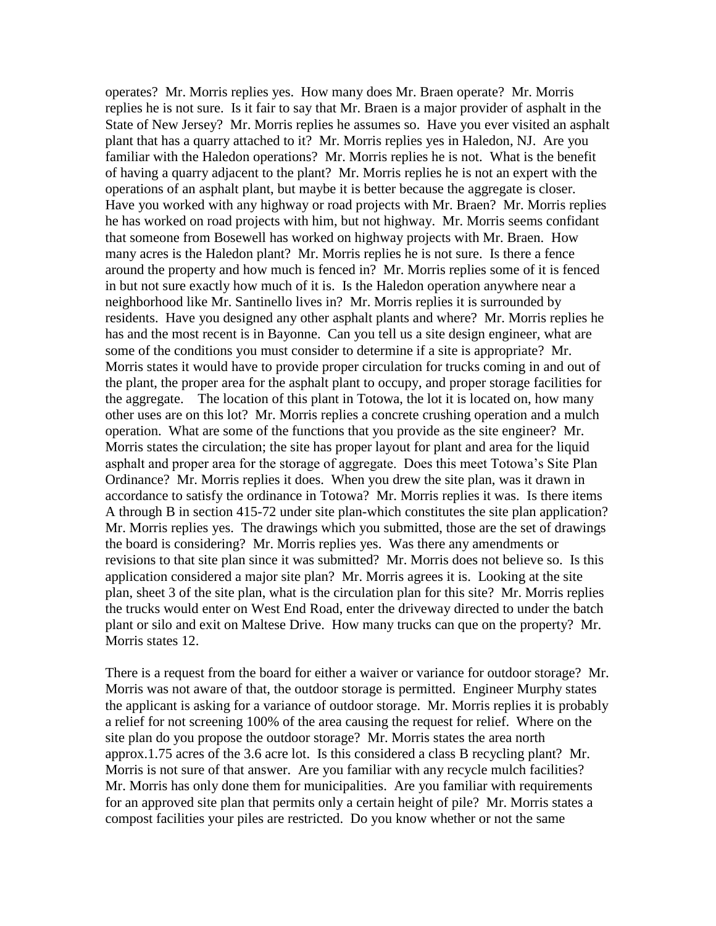operates? Mr. Morris replies yes. How many does Mr. Braen operate? Mr. Morris replies he is not sure. Is it fair to say that Mr. Braen is a major provider of asphalt in the State of New Jersey? Mr. Morris replies he assumes so. Have you ever visited an asphalt plant that has a quarry attached to it? Mr. Morris replies yes in Haledon, NJ. Are you familiar with the Haledon operations? Mr. Morris replies he is not. What is the benefit of having a quarry adjacent to the plant? Mr. Morris replies he is not an expert with the operations of an asphalt plant, but maybe it is better because the aggregate is closer. Have you worked with any highway or road projects with Mr. Braen? Mr. Morris replies he has worked on road projects with him, but not highway. Mr. Morris seems confidant that someone from Bosewell has worked on highway projects with Mr. Braen. How many acres is the Haledon plant? Mr. Morris replies he is not sure. Is there a fence around the property and how much is fenced in? Mr. Morris replies some of it is fenced in but not sure exactly how much of it is. Is the Haledon operation anywhere near a neighborhood like Mr. Santinello lives in? Mr. Morris replies it is surrounded by residents. Have you designed any other asphalt plants and where? Mr. Morris replies he has and the most recent is in Bayonne. Can you tell us a site design engineer, what are some of the conditions you must consider to determine if a site is appropriate? Mr. Morris states it would have to provide proper circulation for trucks coming in and out of the plant, the proper area for the asphalt plant to occupy, and proper storage facilities for the aggregate. The location of this plant in Totowa, the lot it is located on, how many other uses are on this lot? Mr. Morris replies a concrete crushing operation and a mulch operation. What are some of the functions that you provide as the site engineer? Mr. Morris states the circulation; the site has proper layout for plant and area for the liquid asphalt and proper area for the storage of aggregate. Does this meet Totowa's Site Plan Ordinance? Mr. Morris replies it does. When you drew the site plan, was it drawn in accordance to satisfy the ordinance in Totowa? Mr. Morris replies it was. Is there items A through B in section 415-72 under site plan-which constitutes the site plan application? Mr. Morris replies yes. The drawings which you submitted, those are the set of drawings the board is considering? Mr. Morris replies yes. Was there any amendments or revisions to that site plan since it was submitted? Mr. Morris does not believe so. Is this application considered a major site plan? Mr. Morris agrees it is. Looking at the site plan, sheet 3 of the site plan, what is the circulation plan for this site? Mr. Morris replies the trucks would enter on West End Road, enter the driveway directed to under the batch plant or silo and exit on Maltese Drive. How many trucks can que on the property? Mr. Morris states 12.

There is a request from the board for either a waiver or variance for outdoor storage? Mr. Morris was not aware of that, the outdoor storage is permitted. Engineer Murphy states the applicant is asking for a variance of outdoor storage. Mr. Morris replies it is probably a relief for not screening 100% of the area causing the request for relief. Where on the site plan do you propose the outdoor storage? Mr. Morris states the area north approx.1.75 acres of the 3.6 acre lot. Is this considered a class B recycling plant? Mr. Morris is not sure of that answer. Are you familiar with any recycle mulch facilities? Mr. Morris has only done them for municipalities. Are you familiar with requirements for an approved site plan that permits only a certain height of pile? Mr. Morris states a compost facilities your piles are restricted. Do you know whether or not the same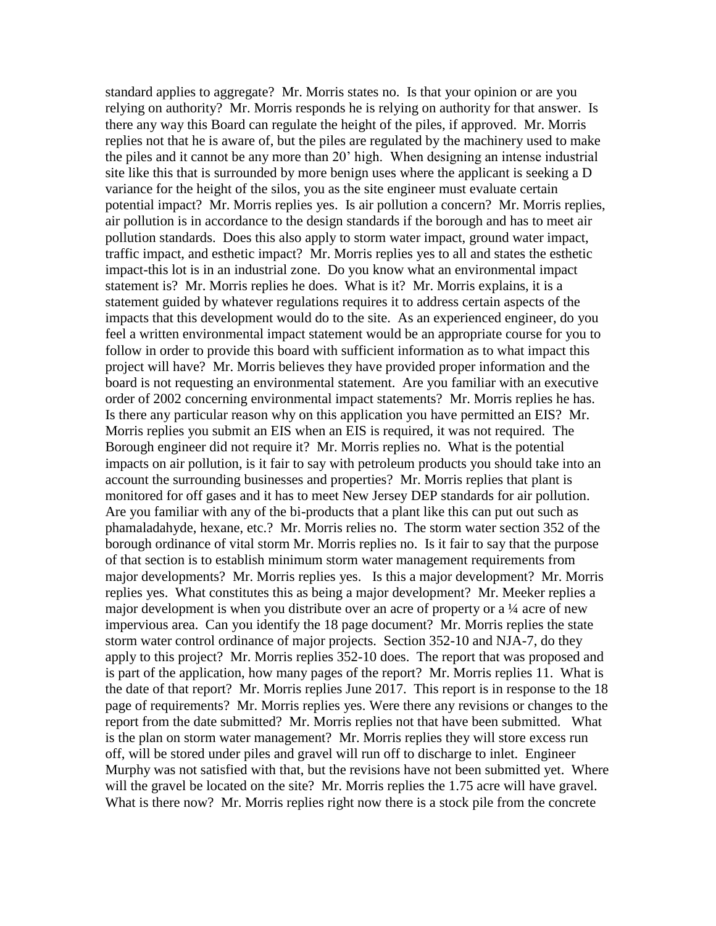standard applies to aggregate? Mr. Morris states no. Is that your opinion or are you relying on authority? Mr. Morris responds he is relying on authority for that answer. Is there any way this Board can regulate the height of the piles, if approved. Mr. Morris replies not that he is aware of, but the piles are regulated by the machinery used to make the piles and it cannot be any more than 20' high. When designing an intense industrial site like this that is surrounded by more benign uses where the applicant is seeking a D variance for the height of the silos, you as the site engineer must evaluate certain potential impact? Mr. Morris replies yes. Is air pollution a concern? Mr. Morris replies, air pollution is in accordance to the design standards if the borough and has to meet air pollution standards. Does this also apply to storm water impact, ground water impact, traffic impact, and esthetic impact? Mr. Morris replies yes to all and states the esthetic impact-this lot is in an industrial zone. Do you know what an environmental impact statement is? Mr. Morris replies he does. What is it? Mr. Morris explains, it is a statement guided by whatever regulations requires it to address certain aspects of the impacts that this development would do to the site. As an experienced engineer, do you feel a written environmental impact statement would be an appropriate course for you to follow in order to provide this board with sufficient information as to what impact this project will have? Mr. Morris believes they have provided proper information and the board is not requesting an environmental statement. Are you familiar with an executive order of 2002 concerning environmental impact statements? Mr. Morris replies he has. Is there any particular reason why on this application you have permitted an EIS? Mr. Morris replies you submit an EIS when an EIS is required, it was not required. The Borough engineer did not require it? Mr. Morris replies no. What is the potential impacts on air pollution, is it fair to say with petroleum products you should take into an account the surrounding businesses and properties? Mr. Morris replies that plant is monitored for off gases and it has to meet New Jersey DEP standards for air pollution. Are you familiar with any of the bi-products that a plant like this can put out such as phamaladahyde, hexane, etc.? Mr. Morris relies no. The storm water section 352 of the borough ordinance of vital storm Mr. Morris replies no. Is it fair to say that the purpose of that section is to establish minimum storm water management requirements from major developments? Mr. Morris replies yes. Is this a major development? Mr. Morris replies yes. What constitutes this as being a major development? Mr. Meeker replies a major development is when you distribute over an acre of property or a ¼ acre of new impervious area. Can you identify the 18 page document? Mr. Morris replies the state storm water control ordinance of major projects. Section 352-10 and NJA-7, do they apply to this project? Mr. Morris replies 352-10 does. The report that was proposed and is part of the application, how many pages of the report? Mr. Morris replies 11. What is the date of that report? Mr. Morris replies June 2017. This report is in response to the 18 page of requirements? Mr. Morris replies yes. Were there any revisions or changes to the report from the date submitted? Mr. Morris replies not that have been submitted. What is the plan on storm water management? Mr. Morris replies they will store excess run off, will be stored under piles and gravel will run off to discharge to inlet. Engineer Murphy was not satisfied with that, but the revisions have not been submitted yet. Where will the gravel be located on the site? Mr. Morris replies the 1.75 acre will have gravel. What is there now? Mr. Morris replies right now there is a stock pile from the concrete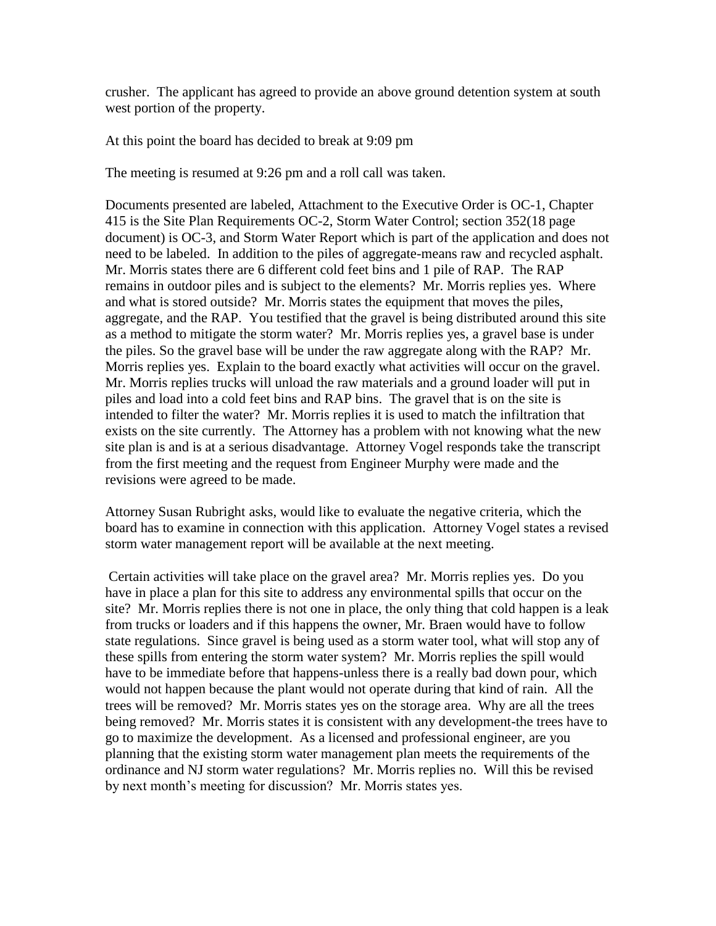crusher. The applicant has agreed to provide an above ground detention system at south west portion of the property.

At this point the board has decided to break at 9:09 pm

The meeting is resumed at 9:26 pm and a roll call was taken.

Documents presented are labeled, Attachment to the Executive Order is OC-1, Chapter 415 is the Site Plan Requirements OC-2, Storm Water Control; section 352(18 page document) is OC-3, and Storm Water Report which is part of the application and does not need to be labeled. In addition to the piles of aggregate-means raw and recycled asphalt. Mr. Morris states there are 6 different cold feet bins and 1 pile of RAP. The RAP remains in outdoor piles and is subject to the elements? Mr. Morris replies yes. Where and what is stored outside? Mr. Morris states the equipment that moves the piles, aggregate, and the RAP. You testified that the gravel is being distributed around this site as a method to mitigate the storm water? Mr. Morris replies yes, a gravel base is under the piles. So the gravel base will be under the raw aggregate along with the RAP? Mr. Morris replies yes. Explain to the board exactly what activities will occur on the gravel. Mr. Morris replies trucks will unload the raw materials and a ground loader will put in piles and load into a cold feet bins and RAP bins. The gravel that is on the site is intended to filter the water? Mr. Morris replies it is used to match the infiltration that exists on the site currently. The Attorney has a problem with not knowing what the new site plan is and is at a serious disadvantage. Attorney Vogel responds take the transcript from the first meeting and the request from Engineer Murphy were made and the revisions were agreed to be made.

Attorney Susan Rubright asks, would like to evaluate the negative criteria, which the board has to examine in connection with this application. Attorney Vogel states a revised storm water management report will be available at the next meeting.

Certain activities will take place on the gravel area? Mr. Morris replies yes. Do you have in place a plan for this site to address any environmental spills that occur on the site? Mr. Morris replies there is not one in place, the only thing that cold happen is a leak from trucks or loaders and if this happens the owner, Mr. Braen would have to follow state regulations. Since gravel is being used as a storm water tool, what will stop any of these spills from entering the storm water system? Mr. Morris replies the spill would have to be immediate before that happens-unless there is a really bad down pour, which would not happen because the plant would not operate during that kind of rain. All the trees will be removed? Mr. Morris states yes on the storage area. Why are all the trees being removed? Mr. Morris states it is consistent with any development-the trees have to go to maximize the development. As a licensed and professional engineer, are you planning that the existing storm water management plan meets the requirements of the ordinance and NJ storm water regulations? Mr. Morris replies no. Will this be revised by next month's meeting for discussion? Mr. Morris states yes.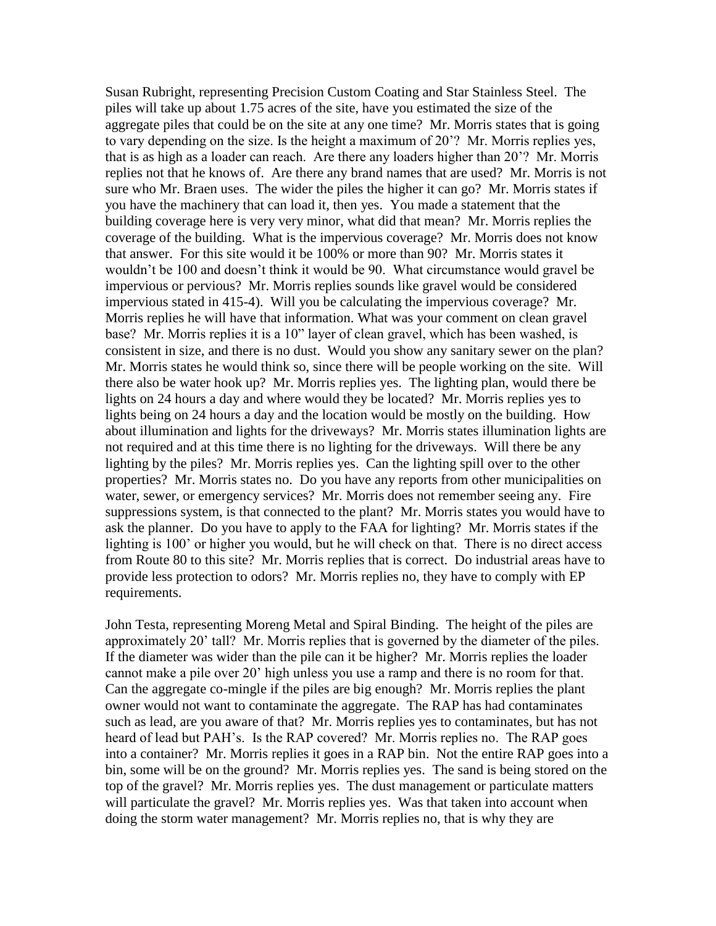Susan Rubright, representing Precision Custom Coating and Star Stainless Steel. The piles will take up about 1.75 acres of the site, have you estimated the size of the aggregate piles that could be on the site at any one time? Mr. Morris states that is going to vary depending on the size. Is the height a maximum of 20'? Mr. Morris replies yes, that is as high as a loader can reach. Are there any loaders higher than 20'? Mr. Morris replies not that he knows of. Are there any brand names that are used? Mr. Morris is not sure who Mr. Braen uses. The wider the piles the higher it can go? Mr. Morris states if you have the machinery that can load it, then yes. You made a statement that the building coverage here is very very minor, what did that mean? Mr. Morris replies the coverage of the building. What is the impervious coverage? Mr. Morris does not know that answer. For this site would it be 100% or more than 90? Mr. Morris states it wouldn't be 100 and doesn't think it would be 90. What circumstance would gravel be impervious or pervious? Mr. Morris replies sounds like gravel would be considered impervious stated in 415-4). Will you be calculating the impervious coverage? Mr. Morris replies he will have that information. What was your comment on clean gravel base? Mr. Morris replies it is a 10" layer of clean gravel, which has been washed, is consistent in size, and there is no dust. Would you show any sanitary sewer on the plan? Mr. Morris states he would think so, since there will be people working on the site. Will there also be water hook up? Mr. Morris replies yes. The lighting plan, would there be lights on 24 hours a day and where would they be located? Mr. Morris replies yes to lights being on 24 hours a day and the location would be mostly on the building. How about illumination and lights for the driveways? Mr. Morris states illumination lights are not required and at this time there is no lighting for the driveways. Will there be any lighting by the piles? Mr. Morris replies yes. Can the lighting spill over to the other properties? Mr. Morris states no. Do you have any reports from other municipalities on water, sewer, or emergency services? Mr. Morris does not remember seeing any. Fire suppressions system, is that connected to the plant? Mr. Morris states you would have to ask the planner. Do you have to apply to the FAA for lighting? Mr. Morris states if the lighting is 100' or higher you would, but he will check on that. There is no direct access from Route 80 to this site? Mr. Morris replies that is correct. Do industrial areas have to provide less protection to odors? Mr. Morris replies no, they have to comply with EP requirements.

John Testa, representing Moreng Metal and Spiral Binding. The height of the piles are approximately 20' tall? Mr. Morris replies that is governed by the diameter of the piles. If the diameter was wider than the pile can it be higher? Mr. Morris replies the loader cannot make a pile over 20' high unless you use a ramp and there is no room for that. Can the aggregate co-mingle if the piles are big enough? Mr. Morris replies the plant owner would not want to contaminate the aggregate. The RAP has had contaminates such as lead, are you aware of that? Mr. Morris replies yes to contaminates, but has not heard of lead but PAH's. Is the RAP covered? Mr. Morris replies no. The RAP goes into a container? Mr. Morris replies it goes in a RAP bin. Not the entire RAP goes into a bin, some will be on the ground? Mr. Morris replies yes. The sand is being stored on the top of the gravel? Mr. Morris replies yes. The dust management or particulate matters will particulate the gravel? Mr. Morris replies yes. Was that taken into account when doing the storm water management? Mr. Morris replies no, that is why they are